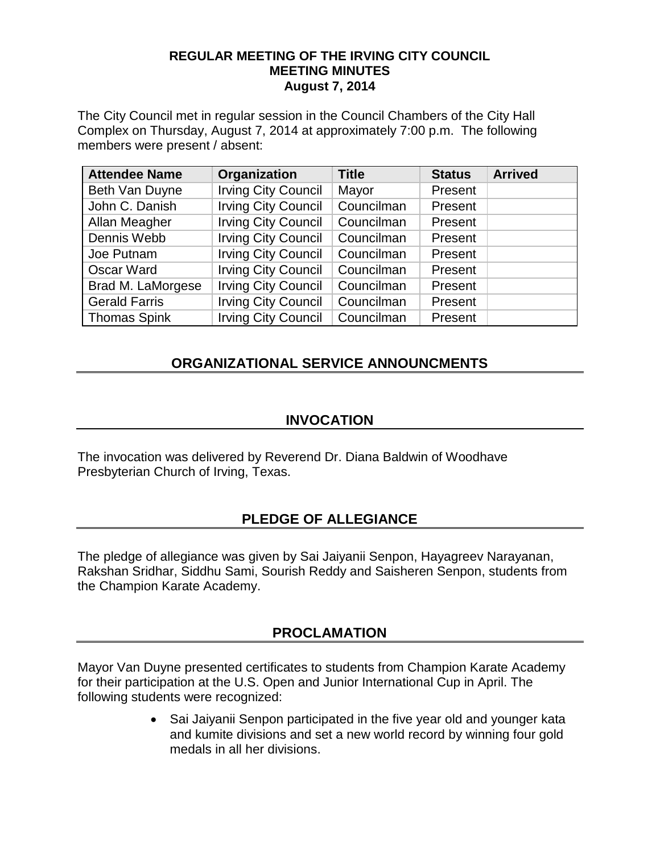#### **REGULAR MEETING OF THE IRVING CITY COUNCIL MEETING MINUTES August 7, 2014**

The City Council met in regular session in the Council Chambers of the City Hall Complex on Thursday, August 7, 2014 at approximately 7:00 p.m. The following members were present / absent:

| <b>Attendee Name</b> | Organization               | <b>Title</b> | <b>Status</b> | <b>Arrived</b> |
|----------------------|----------------------------|--------------|---------------|----------------|
| Beth Van Duyne       | <b>Irving City Council</b> | Mayor        | Present       |                |
| John C. Danish       | <b>Irving City Council</b> | Councilman   | Present       |                |
| Allan Meagher        | <b>Irving City Council</b> | Councilman   | Present       |                |
| Dennis Webb          | <b>Irving City Council</b> | Councilman   | Present       |                |
| Joe Putnam           | <b>Irving City Council</b> | Councilman   | Present       |                |
| <b>Oscar Ward</b>    | <b>Irving City Council</b> | Councilman   | Present       |                |
| Brad M. LaMorgese    | <b>Irving City Council</b> | Councilman   | Present       |                |
| <b>Gerald Farris</b> | <b>Irving City Council</b> | Councilman   | Present       |                |
| <b>Thomas Spink</b>  | <b>Irving City Council</b> | Councilman   | Present       |                |

# **ORGANIZATIONAL SERVICE ANNOUNCMENTS**

### **INVOCATION**

The invocation was delivered by Reverend Dr. Diana Baldwin of Woodhave Presbyterian Church of Irving, Texas.

# **PLEDGE OF ALLEGIANCE**

The pledge of allegiance was given by Sai Jaiyanii Senpon, Hayagreev Narayanan, Rakshan Sridhar, Siddhu Sami, Sourish Reddy and Saisheren Senpon, students from the Champion Karate Academy.

# **PROCLAMATION**

Mayor Van Duyne presented certificates to students from Champion Karate Academy for their participation at the U.S. Open and Junior International Cup in April. The following students were recognized:

> • Sai Jaiyanii Senpon participated in the five year old and younger kata and kumite divisions and set a new world record by winning four gold medals in all her divisions.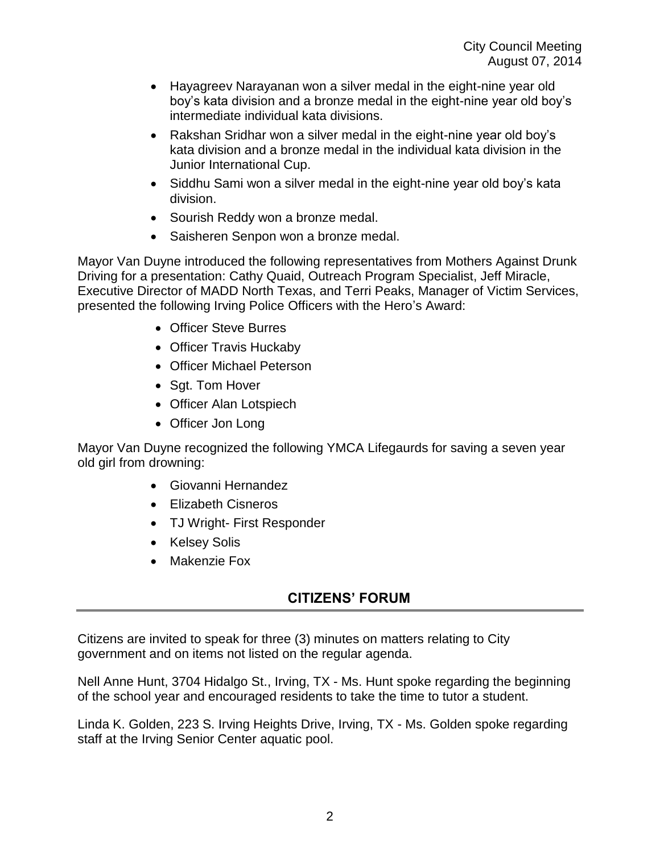- Hayagreev Narayanan won a silver medal in the eight-nine year old boy's kata division and a bronze medal in the eight-nine year old boy's intermediate individual kata divisions.
- Rakshan Sridhar won a silver medal in the eight-nine year old boy's kata division and a bronze medal in the individual kata division in the Junior International Cup.
- Siddhu Sami won a silver medal in the eight-nine year old boy's kata division.
- Sourish Reddy won a bronze medal.
- Saisheren Senpon won a bronze medal.

Mayor Van Duyne introduced the following representatives from Mothers Against Drunk Driving for a presentation: Cathy Quaid, Outreach Program Specialist, Jeff Miracle, Executive Director of MADD North Texas, and Terri Peaks, Manager of Victim Services, presented the following Irving Police Officers with the Hero's Award:

- Officer Steve Burres
- Officer Travis Huckaby
- Officer Michael Peterson
- Sgt. Tom Hover
- Officer Alan Lotspiech
- Officer Jon Long

Mayor Van Duyne recognized the following YMCA Lifegaurds for saving a seven year old girl from drowning:

- Giovanni Hernandez
- Elizabeth Cisneros
- TJ Wright- First Responder
- Kelsey Solis
- Makenzie Fox

# **CITIZENS' FORUM**

Citizens are invited to speak for three (3) minutes on matters relating to City government and on items not listed on the regular agenda.

Nell Anne Hunt, 3704 Hidalgo St., Irving, TX - Ms. Hunt spoke regarding the beginning of the school year and encouraged residents to take the time to tutor a student.

Linda K. Golden, 223 S. Irving Heights Drive, Irving, TX - Ms. Golden spoke regarding staff at the Irving Senior Center aquatic pool.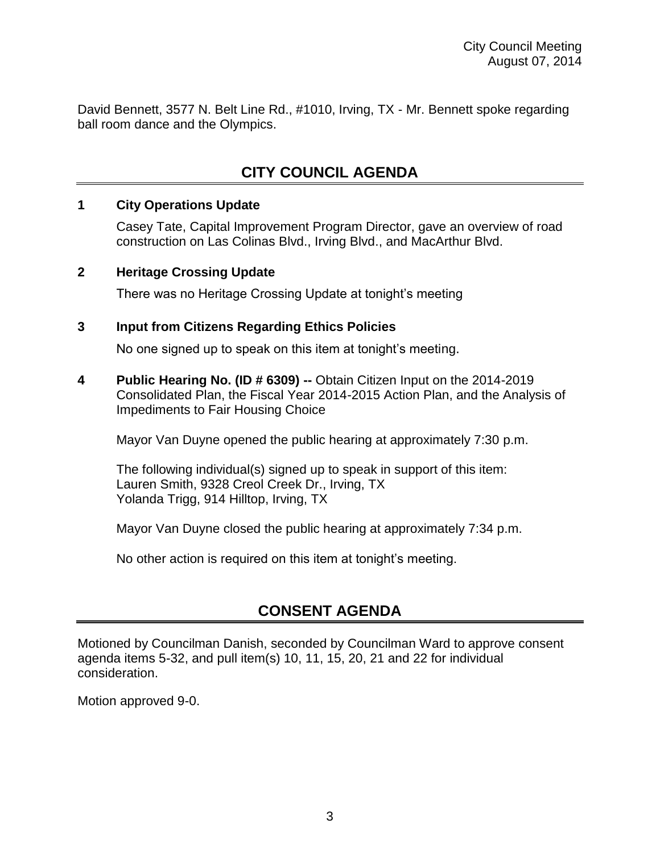David Bennett, 3577 N. Belt Line Rd., #1010, Irving, TX - Mr. Bennett spoke regarding ball room dance and the Olympics.

# **CITY COUNCIL AGENDA**

### **1 City Operations Update**

Casey Tate, Capital Improvement Program Director, gave an overview of road construction on Las Colinas Blvd., Irving Blvd., and MacArthur Blvd.

#### **2 Heritage Crossing Update**

There was no Heritage Crossing Update at tonight's meeting

### **3 Input from Citizens Regarding Ethics Policies**

No one signed up to speak on this item at tonight's meeting.

**4 Public Hearing No. (ID # 6309) --** Obtain Citizen Input on the 2014-2019 Consolidated Plan, the Fiscal Year 2014-2015 Action Plan, and the Analysis of Impediments to Fair Housing Choice

Mayor Van Duyne opened the public hearing at approximately 7:30 p.m.

The following individual(s) signed up to speak in support of this item: Lauren Smith, 9328 Creol Creek Dr., Irving, TX Yolanda Trigg, 914 Hilltop, Irving, TX

Mayor Van Duyne closed the public hearing at approximately 7:34 p.m.

No other action is required on this item at tonight's meeting.

# **CONSENT AGENDA**

Motioned by Councilman Danish, seconded by Councilman Ward to approve consent agenda items 5-32, and pull item(s) 10, 11, 15, 20, 21 and 22 for individual consideration.

Motion approved 9-0.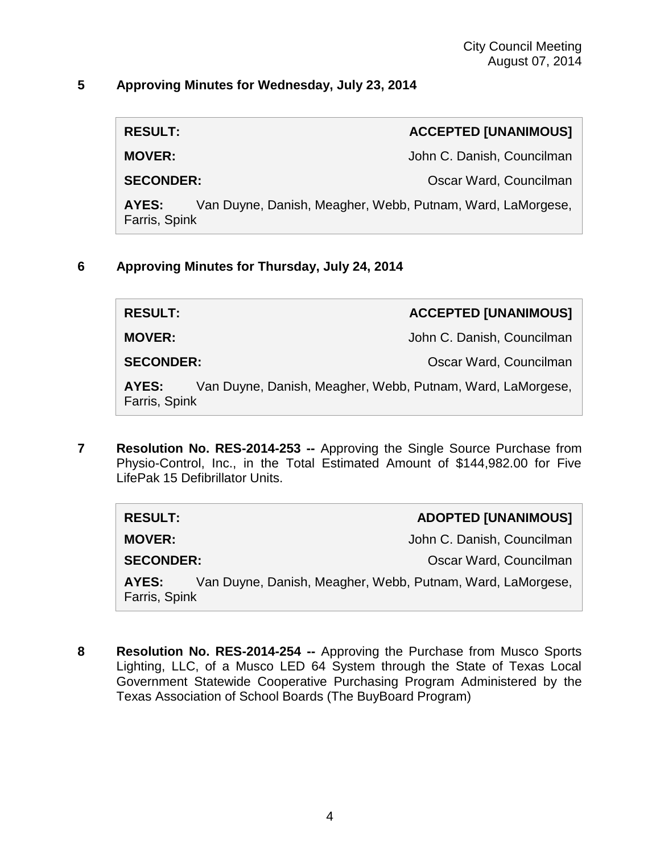#### **5 Approving Minutes for Wednesday, July 23, 2014**

**RESULT: ACCEPTED [UNANIMOUS]**

**MOVER:** John C. Danish, Councilman

**SECONDER:** Oscar Ward, Councilman

**AYES:** Van Duyne, Danish, Meagher, Webb, Putnam, Ward, LaMorgese, Farris, Spink

### **6 Approving Minutes for Thursday, July 24, 2014**

**RESULT: ACCEPTED [UNANIMOUS]**

**MOVER:** John C. Danish, Councilman

**SECONDER:** Oscar Ward, Councilman

**AYES:** Van Duyne, Danish, Meagher, Webb, Putnam, Ward, LaMorgese, Farris, Spink

**7 Resolution No. RES-2014-253 --** Approving the Single Source Purchase from Physio-Control, Inc., in the Total Estimated Amount of \$144,982.00 for Five LifePak 15 Defibrillator Units.

| <b>RESULT:</b>                                                                       | <b>ADOPTED [UNANIMOUS]</b> |
|--------------------------------------------------------------------------------------|----------------------------|
| <b>MOVER:</b>                                                                        | John C. Danish, Councilman |
| <b>SECONDER:</b>                                                                     | Oscar Ward, Councilman     |
| Van Duyne, Danish, Meagher, Webb, Putnam, Ward, LaMorgese,<br>AYES:<br>Farris, Spink |                            |

**8 Resolution No. RES-2014-254 --** Approving the Purchase from Musco Sports Lighting, LLC, of a Musco LED 64 System through the State of Texas Local Government Statewide Cooperative Purchasing Program Administered by the Texas Association of School Boards (The BuyBoard Program)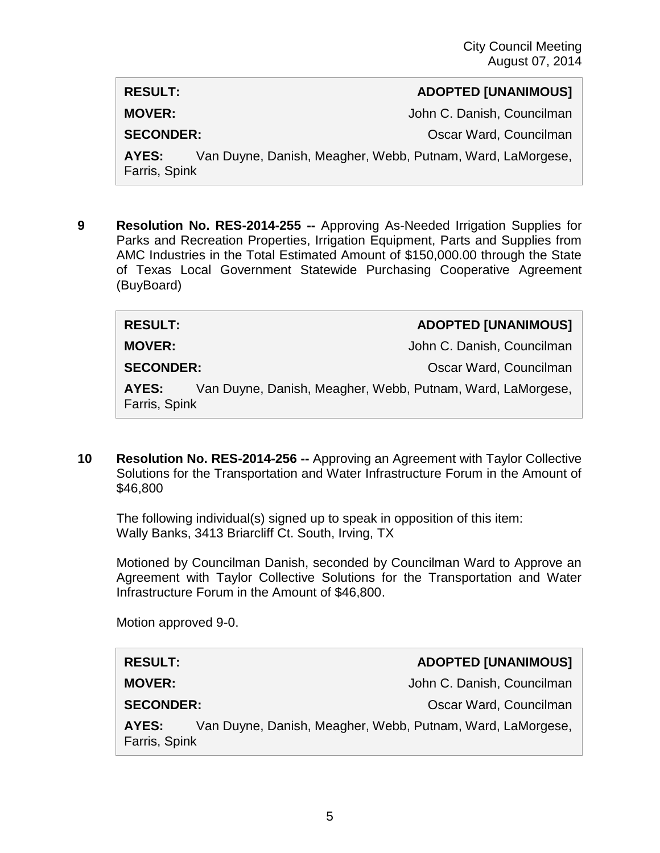#### **RESULT: ADOPTED [UNANIMOUS]**

**MOVER:** John C. Danish, Councilman

**SECONDER:** COUNTER COUNTER SECONDER:

**AYES:** Van Duyne, Danish, Meagher, Webb, Putnam, Ward, LaMorgese, Farris, Spink

**9 Resolution No. RES-2014-255 --** Approving As-Needed Irrigation Supplies for Parks and Recreation Properties, Irrigation Equipment, Parts and Supplies from AMC Industries in the Total Estimated Amount of \$150,000.00 through the State of Texas Local Government Statewide Purchasing Cooperative Agreement (BuyBoard)

| <b>RESULT:</b>         | <b>ADOPTED [UNANIMOUS]</b>                                 |
|------------------------|------------------------------------------------------------|
| <b>MOVER:</b>          | John C. Danish, Councilman                                 |
| <b>SECONDER:</b>       | Oscar Ward, Councilman                                     |
| AYES:<br>Farris, Spink | Van Duyne, Danish, Meagher, Webb, Putnam, Ward, LaMorgese, |

**10 Resolution No. RES-2014-256 --** Approving an Agreement with Taylor Collective Solutions for the Transportation and Water Infrastructure Forum in the Amount of \$46,800

The following individual(s) signed up to speak in opposition of this item: Wally Banks, 3413 Briarcliff Ct. South, Irving, TX

Motioned by Councilman Danish, seconded by Councilman Ward to Approve an Agreement with Taylor Collective Solutions for the Transportation and Water Infrastructure Forum in the Amount of \$46,800.

Motion approved 9-0.

# **RESULT: ADOPTED [UNANIMOUS]**

**MOVER:** John C. Danish, Councilman

**SECONDER:** Oscar Ward, Councilman

**AYES:** Van Duyne, Danish, Meagher, Webb, Putnam, Ward, LaMorgese, Farris, Spink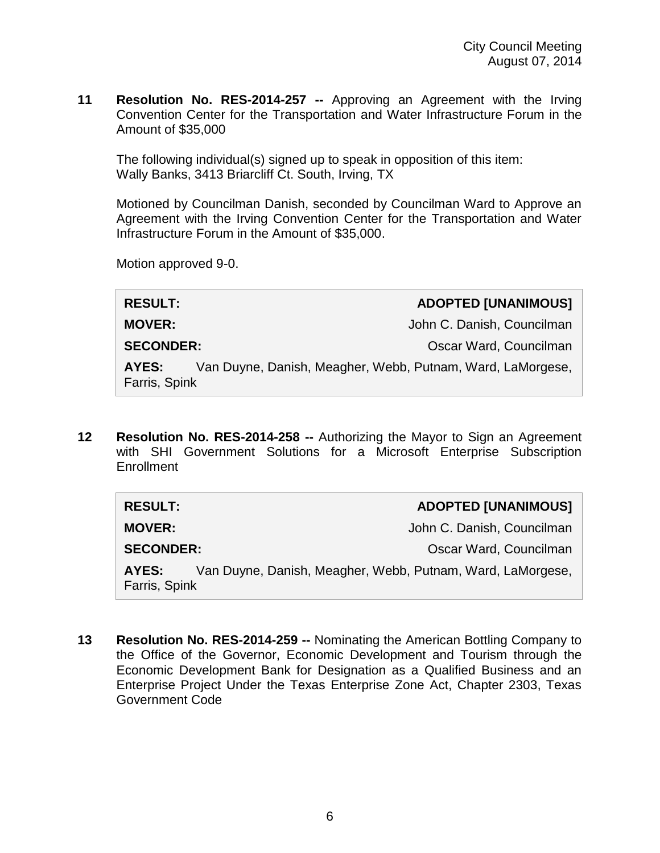**11 Resolution No. RES-2014-257 --** Approving an Agreement with the Irving Convention Center for the Transportation and Water Infrastructure Forum in the Amount of \$35,000

The following individual(s) signed up to speak in opposition of this item: Wally Banks, 3413 Briarcliff Ct. South, Irving, TX

Motioned by Councilman Danish, seconded by Councilman Ward to Approve an Agreement with the Irving Convention Center for the Transportation and Water Infrastructure Forum in the Amount of \$35,000.

Motion approved 9-0.

**RESULT: ADOPTED [UNANIMOUS] MOVER:** John C. Danish, Councilman **SECONDER:** CONDER: CONDER: CONDER: CONDER: CONDER: CONDER: CONDER: CONDER: CONDER: CONDER: CONDER: CONDER: CONDER: CONDER: CONDER: CONDER: CONDER: CONDER: CONDER: CONDER: CONDER: CONDER: CONDER: CONDER: CONDER: CONDER: CO **AYES:** Van Duyne, Danish, Meagher, Webb, Putnam, Ward, LaMorgese, Farris, Spink

**12 Resolution No. RES-2014-258 --** Authorizing the Mayor to Sign an Agreement with SHI Government Solutions for a Microsoft Enterprise Subscription Enrollment

| <b>RESULT:</b>         |                                                            | <b>ADOPTED [UNANIMOUS]</b> |
|------------------------|------------------------------------------------------------|----------------------------|
| <b>MOVER:</b>          |                                                            | John C. Danish, Councilman |
| <b>SECONDER:</b>       |                                                            | Oscar Ward, Councilman     |
| AYES:<br>Farris, Spink | Van Duyne, Danish, Meagher, Webb, Putnam, Ward, LaMorgese, |                            |

**13 Resolution No. RES-2014-259 --** Nominating the American Bottling Company to the Office of the Governor, Economic Development and Tourism through the Economic Development Bank for Designation as a Qualified Business and an Enterprise Project Under the Texas Enterprise Zone Act, Chapter 2303, Texas Government Code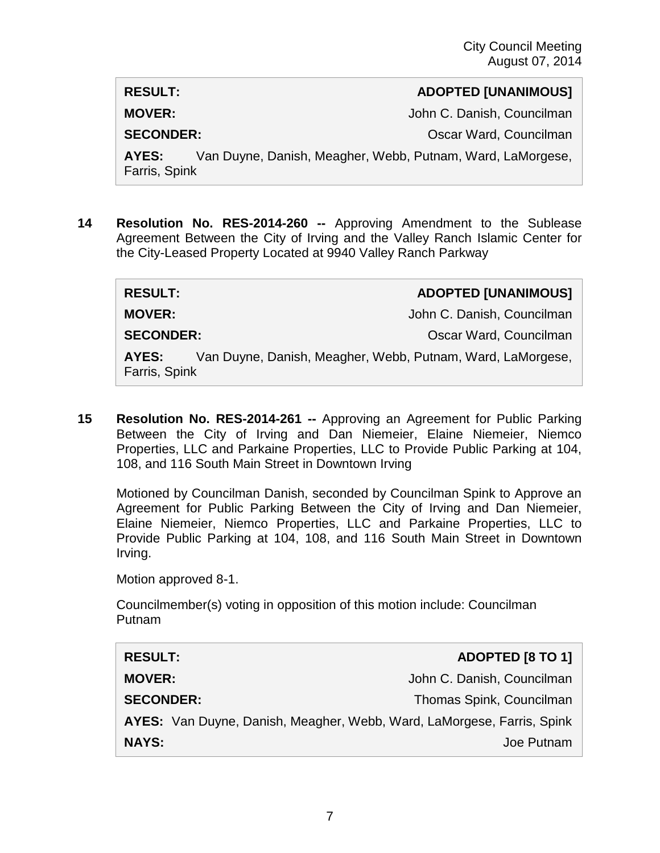### **RESULT: ADOPTED [UNANIMOUS]**

**MOVER:** John C. Danish, Councilman

**SECONDER:** COUNTER COUNTER SECONDER:

**AYES:** Van Duyne, Danish, Meagher, Webb, Putnam, Ward, LaMorgese, Farris, Spink

**14 Resolution No. RES-2014-260 --** Approving Amendment to the Sublease Agreement Between the City of Irving and the Valley Ranch Islamic Center for the City-Leased Property Located at 9940 Valley Ranch Parkway

| <b>RESULT:</b>         | <b>ADOPTED [UNANIMOUS]</b>                                 |
|------------------------|------------------------------------------------------------|
| <b>MOVER:</b>          | John C. Danish, Councilman                                 |
| <b>SECONDER:</b>       | Oscar Ward, Councilman                                     |
| AYES:<br>Farris, Spink | Van Duyne, Danish, Meagher, Webb, Putnam, Ward, LaMorgese, |

**15 Resolution No. RES-2014-261 --** Approving an Agreement for Public Parking Between the City of Irving and Dan Niemeier, Elaine Niemeier, Niemco Properties, LLC and Parkaine Properties, LLC to Provide Public Parking at 104, 108, and 116 South Main Street in Downtown Irving

Motioned by Councilman Danish, seconded by Councilman Spink to Approve an Agreement for Public Parking Between the City of Irving and Dan Niemeier, Elaine Niemeier, Niemco Properties, LLC and Parkaine Properties, LLC to Provide Public Parking at 104, 108, and 116 South Main Street in Downtown Irving.

Motion approved 8-1.

Councilmember(s) voting in opposition of this motion include: Councilman Putnam

| <b>RESULT:</b>                                                         | ADOPTED [8 TO 1]           |
|------------------------------------------------------------------------|----------------------------|
| <b>MOVER:</b>                                                          | John C. Danish, Councilman |
| <b>SECONDER:</b>                                                       | Thomas Spink, Councilman   |
| AYES: Van Duyne, Danish, Meagher, Webb, Ward, LaMorgese, Farris, Spink |                            |
| <b>NAYS:</b>                                                           | Joe Putnam                 |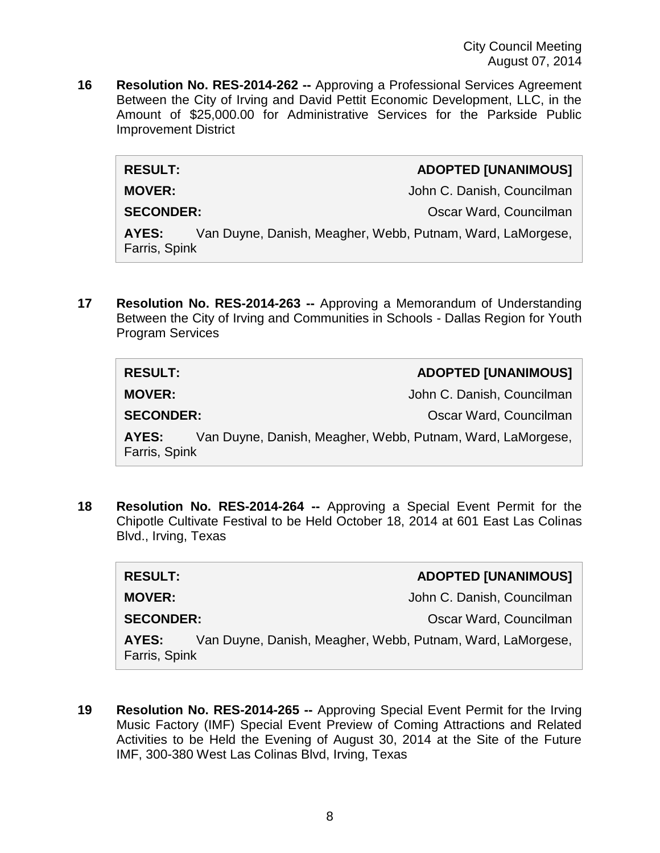**16 Resolution No. RES-2014-262 --** Approving a Professional Services Agreement Between the City of Irving and David Pettit Economic Development, LLC, in the Amount of \$25,000.00 for Administrative Services for the Parkside Public Improvement District

#### **RESULT: ADOPTED [UNANIMOUS]**

**MOVER:** John C. Danish, Councilman

**SECONDER:** Oscar Ward, Councilman

**AYES:** Van Duyne, Danish, Meagher, Webb, Putnam, Ward, LaMorgese, Farris, Spink

**17 Resolution No. RES-2014-263 --** Approving a Memorandum of Understanding Between the City of Irving and Communities in Schools - Dallas Region for Youth Program Services

| <b>RESULT:</b>         | <b>ADOPTED [UNANIMOUS]</b>                                 |
|------------------------|------------------------------------------------------------|
| <b>MOVER:</b>          | John C. Danish, Councilman                                 |
| <b>SECONDER:</b>       | Oscar Ward, Councilman                                     |
| AYES:<br>Farris, Spink | Van Duyne, Danish, Meagher, Webb, Putnam, Ward, LaMorgese, |

**18 Resolution No. RES-2014-264 --** Approving a Special Event Permit for the Chipotle Cultivate Festival to be Held October 18, 2014 at 601 East Las Colinas Blvd., Irving, Texas

| <b>RESULT:</b>         | <b>ADOPTED [UNANIMOUS]</b>                                 |
|------------------------|------------------------------------------------------------|
| <b>MOVER:</b>          | John C. Danish, Councilman                                 |
| <b>SECONDER:</b>       | Oscar Ward, Councilman                                     |
| AYES:<br>Farris, Spink | Van Duyne, Danish, Meagher, Webb, Putnam, Ward, LaMorgese, |

**19 Resolution No. RES-2014-265 --** Approving Special Event Permit for the Irving Music Factory (IMF) Special Event Preview of Coming Attractions and Related Activities to be Held the Evening of August 30, 2014 at the Site of the Future IMF, 300-380 West Las Colinas Blvd, Irving, Texas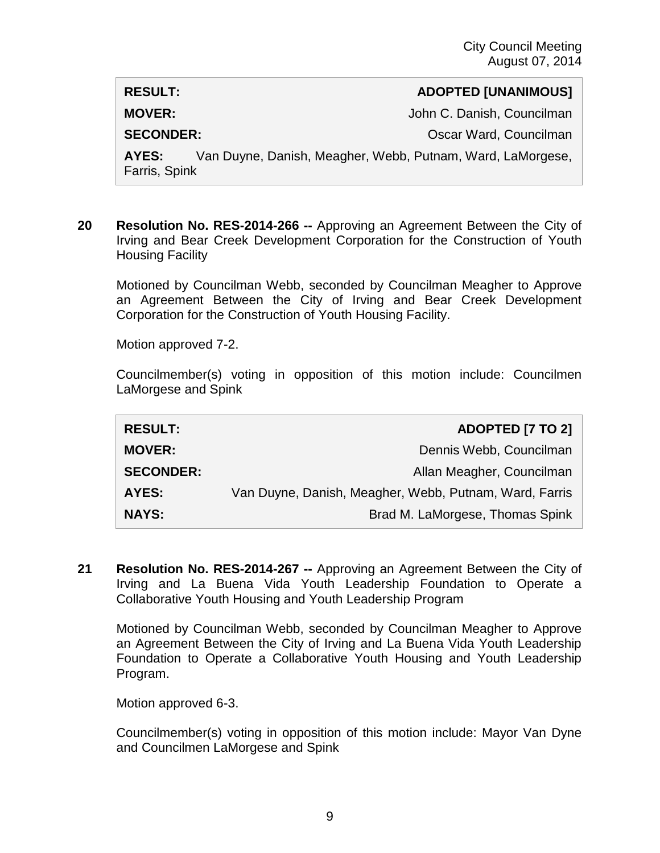#### **RESULT: ADOPTED [UNANIMOUS]**

**MOVER:**  $John C.$  Danish, Councilman

**SECONDER:** COUNTER COUNTER SECONDER:

**AYES:** Van Duyne, Danish, Meagher, Webb, Putnam, Ward, LaMorgese, Farris, Spink

**20 Resolution No. RES-2014-266 --** Approving an Agreement Between the City of Irving and Bear Creek Development Corporation for the Construction of Youth Housing Facility

Motioned by Councilman Webb, seconded by Councilman Meagher to Approve an Agreement Between the City of Irving and Bear Creek Development Corporation for the Construction of Youth Housing Facility.

Motion approved 7-2.

Councilmember(s) voting in opposition of this motion include: Councilmen LaMorgese and Spink

| <b>RESULT:</b>   | <b>ADOPTED [7 TO 2]</b>                                |
|------------------|--------------------------------------------------------|
| <b>MOVER:</b>    | Dennis Webb, Councilman                                |
| <b>SECONDER:</b> | Allan Meagher, Councilman                              |
| <b>AYES:</b>     | Van Duyne, Danish, Meagher, Webb, Putnam, Ward, Farris |
| <b>NAYS:</b>     | Brad M. LaMorgese, Thomas Spink                        |

**21 Resolution No. RES-2014-267 --** Approving an Agreement Between the City of Irving and La Buena Vida Youth Leadership Foundation to Operate a Collaborative Youth Housing and Youth Leadership Program

Motioned by Councilman Webb, seconded by Councilman Meagher to Approve an Agreement Between the City of Irving and La Buena Vida Youth Leadership Foundation to Operate a Collaborative Youth Housing and Youth Leadership Program.

Motion approved 6-3.

Councilmember(s) voting in opposition of this motion include: Mayor Van Dyne and Councilmen LaMorgese and Spink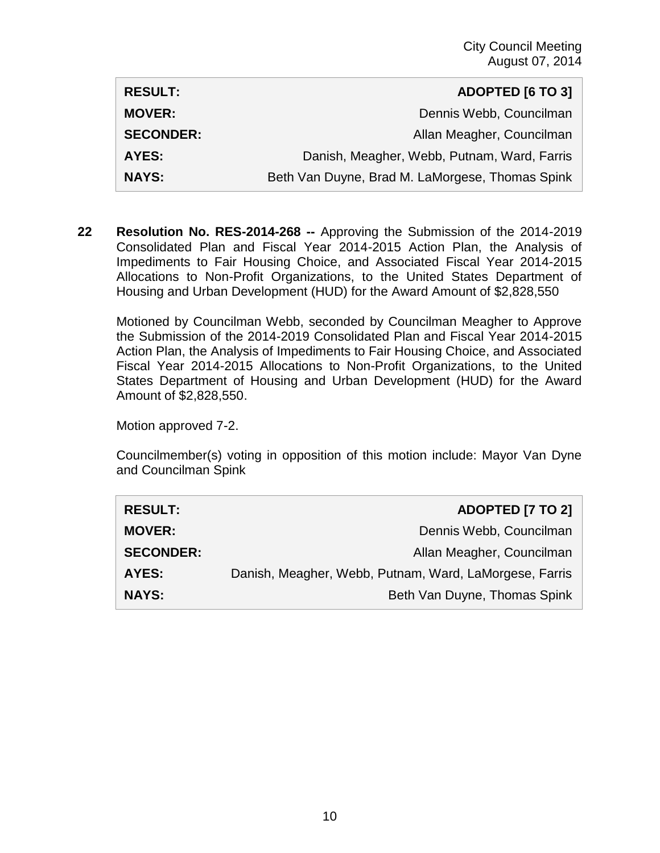| <b>RESULT:</b>   | <b>ADOPTED [6 TO 3]</b>                         |
|------------------|-------------------------------------------------|
| <b>MOVER:</b>    | Dennis Webb, Councilman                         |
| <b>SECONDER:</b> | Allan Meagher, Councilman                       |
| AYES:            | Danish, Meagher, Webb, Putnam, Ward, Farris     |
| <b>NAYS:</b>     | Beth Van Duyne, Brad M. LaMorgese, Thomas Spink |

**22 Resolution No. RES-2014-268 --** Approving the Submission of the 2014-2019 Consolidated Plan and Fiscal Year 2014-2015 Action Plan, the Analysis of Impediments to Fair Housing Choice, and Associated Fiscal Year 2014-2015 Allocations to Non-Profit Organizations, to the United States Department of Housing and Urban Development (HUD) for the Award Amount of \$2,828,550

Motioned by Councilman Webb, seconded by Councilman Meagher to Approve the Submission of the 2014-2019 Consolidated Plan and Fiscal Year 2014-2015 Action Plan, the Analysis of Impediments to Fair Housing Choice, and Associated Fiscal Year 2014-2015 Allocations to Non-Profit Organizations, to the United States Department of Housing and Urban Development (HUD) for the Award Amount of \$2,828,550.

Motion approved 7-2.

Councilmember(s) voting in opposition of this motion include: Mayor Van Dyne and Councilman Spink

| <b>RESULT:</b>   | <b>ADOPTED [7 TO 2]</b>                                |
|------------------|--------------------------------------------------------|
| <b>MOVER:</b>    | Dennis Webb, Councilman                                |
| <b>SECONDER:</b> | Allan Meagher, Councilman                              |
| <b>AYES:</b>     | Danish, Meagher, Webb, Putnam, Ward, LaMorgese, Farris |
| <b>NAYS:</b>     | Beth Van Duyne, Thomas Spink                           |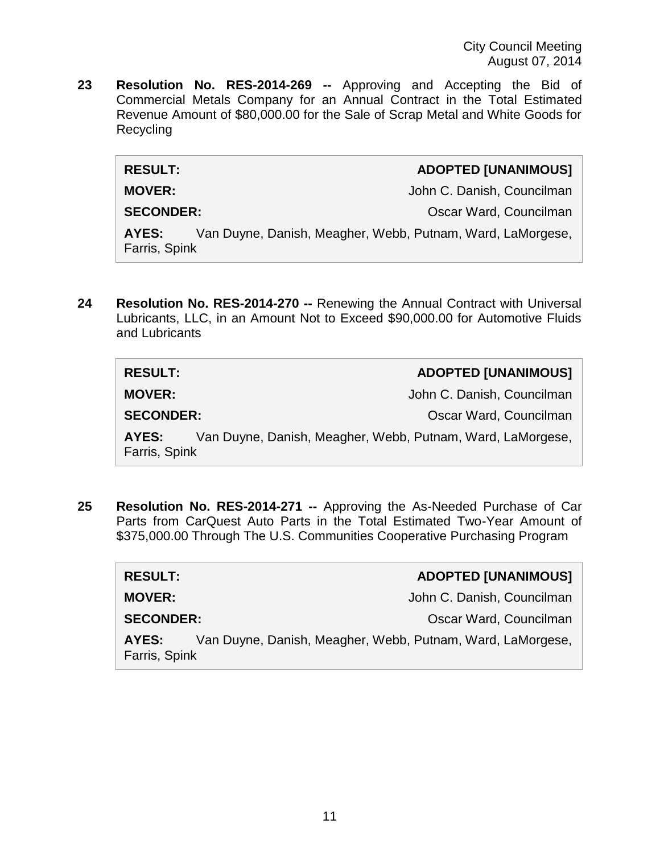**23 Resolution No. RES-2014-269 --** Approving and Accepting the Bid of Commercial Metals Company for an Annual Contract in the Total Estimated Revenue Amount of \$80,000.00 for the Sale of Scrap Metal and White Goods for Recycling

| <b>ADOPTED [UNANIMOUS]</b> |  |
|----------------------------|--|
|                            |  |

 $RESULT:$ 

**MOVER:** John C. Danish, Councilman

**SECONDER:** Oscar Ward, Councilman

**AYES:** Van Duyne, Danish, Meagher, Webb, Putnam, Ward, LaMorgese, Farris, Spink

**24 Resolution No. RES-2014-270 --** Renewing the Annual Contract with Universal Lubricants, LLC, in an Amount Not to Exceed \$90,000.00 for Automotive Fluids and Lubricants

| <b>RESULT:</b>         | <b>ADOPTED [UNANIMOUS]</b>                                 |
|------------------------|------------------------------------------------------------|
| <b>MOVER:</b>          | John C. Danish, Councilman                                 |
| <b>SECONDER:</b>       | Oscar Ward, Councilman                                     |
| AYES:<br>Farris, Spink | Van Duyne, Danish, Meagher, Webb, Putnam, Ward, LaMorgese, |

**25 Resolution No. RES-2014-271 --** Approving the As-Needed Purchase of Car Parts from CarQuest Auto Parts in the Total Estimated Two-Year Amount of \$375,000.00 Through The U.S. Communities Cooperative Purchasing Program

| <b>RESULT:</b>                                                                       | <b>ADOPTED [UNANIMOUS]</b> |
|--------------------------------------------------------------------------------------|----------------------------|
| <b>MOVER:</b>                                                                        | John C. Danish, Councilman |
| <b>SECONDER:</b>                                                                     | Oscar Ward, Councilman     |
| Van Duyne, Danish, Meagher, Webb, Putnam, Ward, LaMorgese,<br>AYES:<br>Farris, Spink |                            |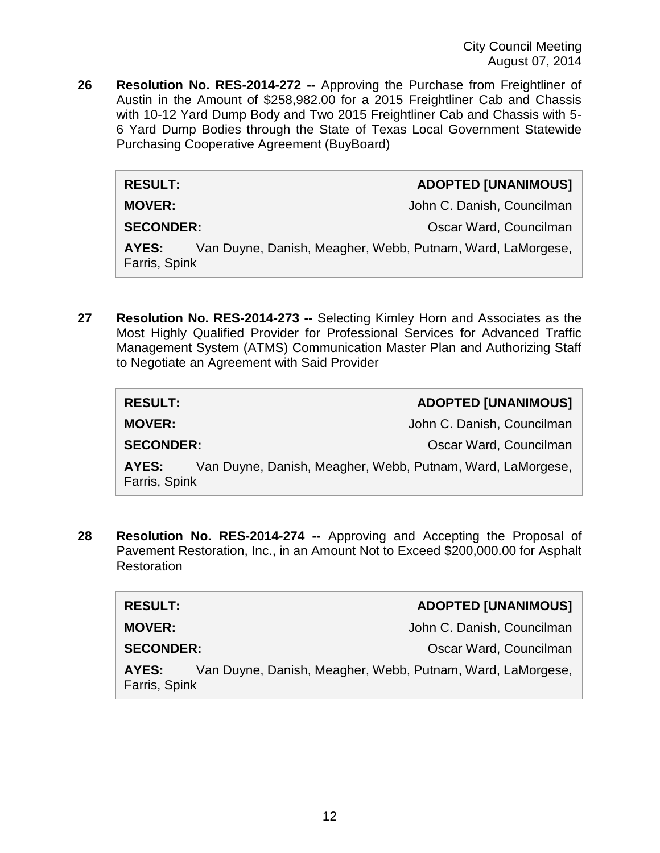**26 Resolution No. RES-2014-272 --** Approving the Purchase from Freightliner of Austin in the Amount of \$258,982.00 for a 2015 Freightliner Cab and Chassis with 10-12 Yard Dump Body and Two 2015 Freightliner Cab and Chassis with 5- 6 Yard Dump Bodies through the State of Texas Local Government Statewide Purchasing Cooperative Agreement (BuyBoard)

#### **RESULT: ADOPTED [UNANIMOUS]**

**MOVER:** John C. Danish, Councilman

**SECONDER:** CONDER: COUNCILLE CONDER: COUNCILLE CONDER: COUNCIL

**AYES:** Van Duyne, Danish, Meagher, Webb, Putnam, Ward, LaMorgese, Farris, Spink

**27 Resolution No. RES-2014-273 --** Selecting Kimley Horn and Associates as the Most Highly Qualified Provider for Professional Services for Advanced Traffic Management System (ATMS) Communication Master Plan and Authorizing Staff to Negotiate an Agreement with Said Provider

| <b>RESULT:</b>                                                                       | <b>ADOPTED [UNANIMOUS]</b> |
|--------------------------------------------------------------------------------------|----------------------------|
| <b>MOVER:</b>                                                                        | John C. Danish, Councilman |
| <b>SECONDER:</b>                                                                     | Oscar Ward, Councilman     |
| Van Duyne, Danish, Meagher, Webb, Putnam, Ward, LaMorgese,<br>AYES:<br>Farris, Spink |                            |

**28 Resolution No. RES-2014-274 --** Approving and Accepting the Proposal of Pavement Restoration, Inc., in an Amount Not to Exceed \$200,000.00 for Asphalt **Restoration** 

| <b>RESULT:</b>         | ADOPTED [UNANIMOUS]                                        |
|------------------------|------------------------------------------------------------|
| <b>MOVER:</b>          | John C. Danish, Councilman                                 |
| <b>SECONDER:</b>       | Oscar Ward, Councilman                                     |
| AYES:<br>Farris, Spink | Van Duyne, Danish, Meagher, Webb, Putnam, Ward, LaMorgese, |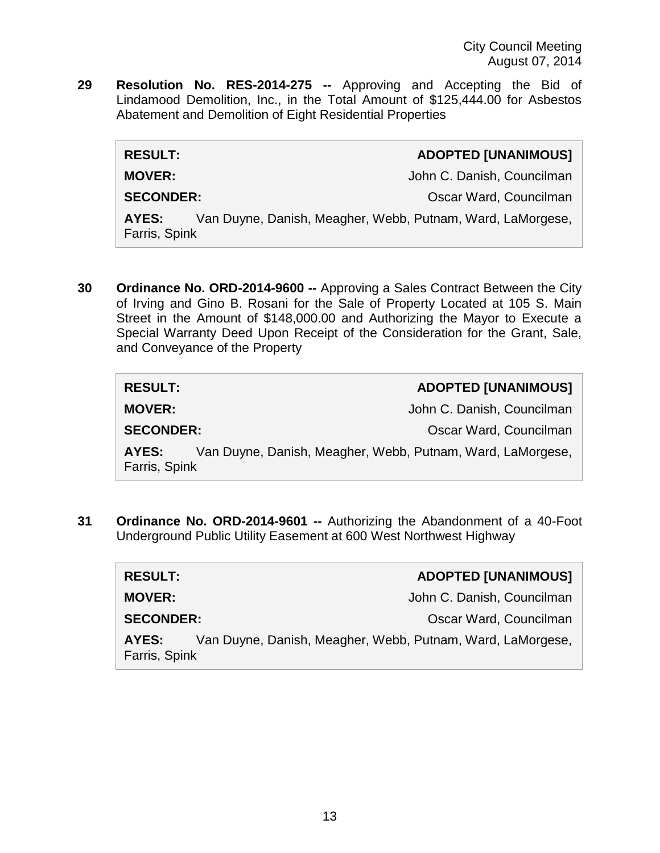**29 Resolution No. RES-2014-275 --** Approving and Accepting the Bid of Lindamood Demolition, Inc., in the Total Amount of \$125,444.00 for Asbestos Abatement and Demolition of Eight Residential Properties

| <b>RESULT:</b>         |                                                            | <b>ADOPTED [UNANIMOUS]</b> |
|------------------------|------------------------------------------------------------|----------------------------|
| <b>MOVER:</b>          |                                                            | John C. Danish, Councilman |
| <b>SECONDER:</b>       |                                                            | Oscar Ward, Councilman     |
| AYES:<br>Farris, Spink | Van Duyne, Danish, Meagher, Webb, Putnam, Ward, LaMorgese, |                            |
|                        |                                                            |                            |

**30 Ordinance No. ORD-2014-9600 --** Approving a Sales Contract Between the City of Irving and Gino B. Rosani for the Sale of Property Located at 105 S. Main Street in the Amount of \$148,000.00 and Authorizing the Mayor to Execute a Special Warranty Deed Upon Receipt of the Consideration for the Grant, Sale, and Conveyance of the Property

| <b>RESULT:</b>         | <b>ADOPTED [UNANIMOUS]</b>                                 |
|------------------------|------------------------------------------------------------|
| <b>MOVER:</b>          | John C. Danish, Councilman                                 |
| <b>SECONDER:</b>       | Oscar Ward, Councilman                                     |
| AYES:<br>Farris, Spink | Van Duyne, Danish, Meagher, Webb, Putnam, Ward, LaMorgese, |

**31 Ordinance No. ORD-2014-9601 --** Authorizing the Abandonment of a 40-Foot Underground Public Utility Easement at 600 West Northwest Highway

| <b>RESULT:</b>                                                                       | <b>ADOPTED [UNANIMOUS]</b> |
|--------------------------------------------------------------------------------------|----------------------------|
| <b>MOVER:</b>                                                                        | John C. Danish, Councilman |
| <b>SECONDER:</b>                                                                     | Oscar Ward, Councilman     |
| Van Duyne, Danish, Meagher, Webb, Putnam, Ward, LaMorgese,<br>AYES:<br>Farris, Spink |                            |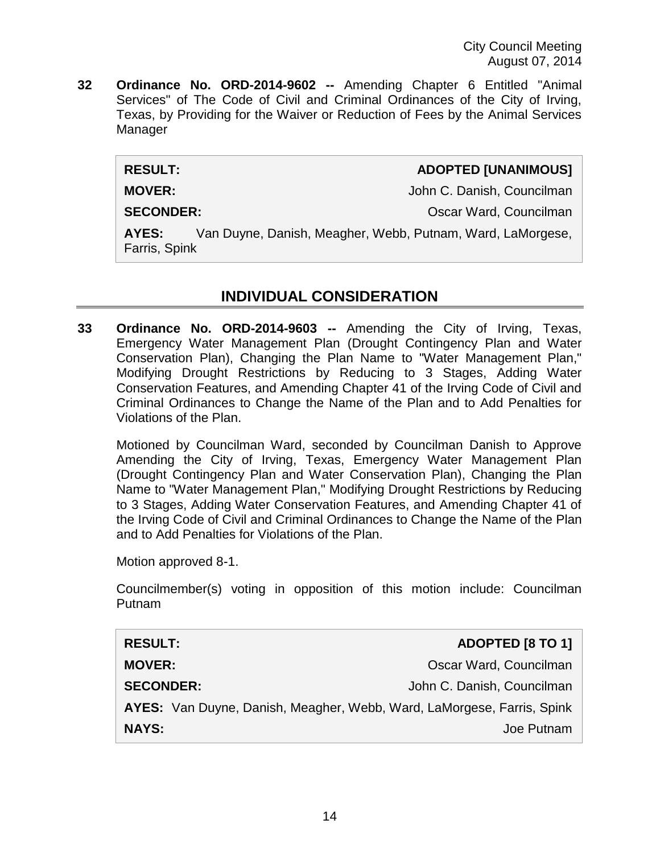**32 Ordinance No. ORD-2014-9602 --** Amending Chapter 6 Entitled "Animal Services" of The Code of Civil and Criminal Ordinances of the City of Irving, Texas, by Providing for the Waiver or Reduction of Fees by the Animal Services Manager

**RESULT: ADOPTED [UNANIMOUS]**

**MOVER:** John C. Danish, Councilman

**SECONDER:** CONDER: COUNCILLE CONDER: COUNCILLE CONDER: COUNCILLE CONDER: COUNCIL

**AYES:** Van Duyne, Danish, Meagher, Webb, Putnam, Ward, LaMorgese, Farris, Spink

# **INDIVIDUAL CONSIDERATION**

**33 Ordinance No. ORD-2014-9603 --** Amending the City of Irving, Texas, Emergency Water Management Plan (Drought Contingency Plan and Water Conservation Plan), Changing the Plan Name to "Water Management Plan," Modifying Drought Restrictions by Reducing to 3 Stages, Adding Water Conservation Features, and Amending Chapter 41 of the Irving Code of Civil and Criminal Ordinances to Change the Name of the Plan and to Add Penalties for Violations of the Plan.

Motioned by Councilman Ward, seconded by Councilman Danish to Approve Amending the City of Irving, Texas, Emergency Water Management Plan (Drought Contingency Plan and Water Conservation Plan), Changing the Plan Name to "Water Management Plan," Modifying Drought Restrictions by Reducing to 3 Stages, Adding Water Conservation Features, and Amending Chapter 41 of the Irving Code of Civil and Criminal Ordinances to Change the Name of the Plan and to Add Penalties for Violations of the Plan.

Motion approved 8-1.

Councilmember(s) voting in opposition of this motion include: Councilman Putnam

| <b>RESULT:</b>   | ADOPTED [8 TO 1]                                                       |
|------------------|------------------------------------------------------------------------|
| <b>MOVER:</b>    | Oscar Ward, Councilman                                                 |
| <b>SECONDER:</b> | John C. Danish, Councilman                                             |
|                  | AYES: Van Duyne, Danish, Meagher, Webb, Ward, LaMorgese, Farris, Spink |
| <b>NAYS:</b>     | Joe Putnam                                                             |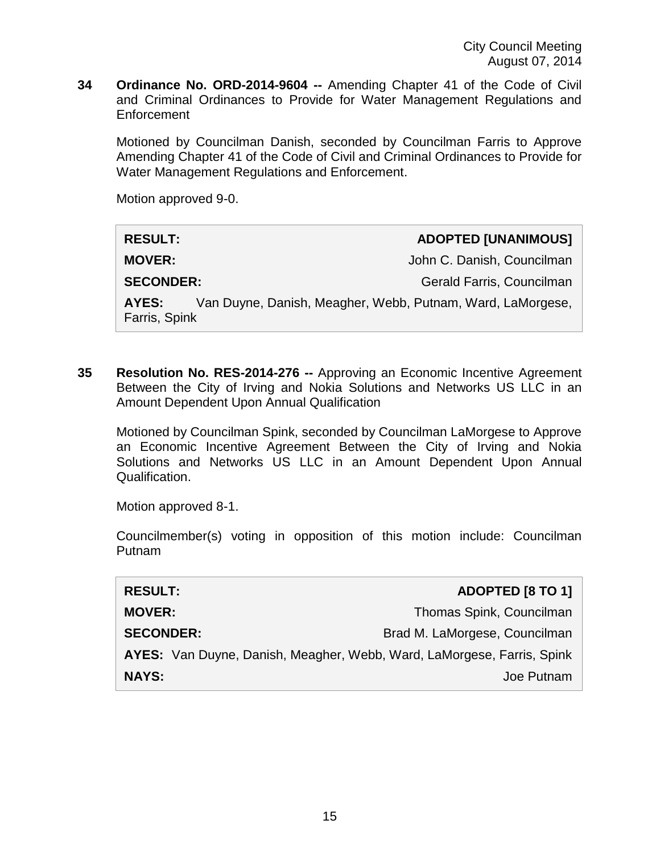**34 Ordinance No. ORD-2014-9604 --** Amending Chapter 41 of the Code of Civil and Criminal Ordinances to Provide for Water Management Regulations and **Enforcement** 

Motioned by Councilman Danish, seconded by Councilman Farris to Approve Amending Chapter 41 of the Code of Civil and Criminal Ordinances to Provide for Water Management Regulations and Enforcement.

Motion approved 9-0.

| <b>RESULT:</b>                                                                       | <b>ADOPTED [UNANIMOUS]</b> |
|--------------------------------------------------------------------------------------|----------------------------|
| <b>MOVER:</b>                                                                        | John C. Danish, Councilman |
| <b>SECONDER:</b>                                                                     | Gerald Farris, Councilman  |
| Van Duyne, Danish, Meagher, Webb, Putnam, Ward, LaMorgese,<br>AYES:<br>Farris, Spink |                            |

**35 Resolution No. RES-2014-276 --** Approving an Economic Incentive Agreement Between the City of Irving and Nokia Solutions and Networks US LLC in an Amount Dependent Upon Annual Qualification

Motioned by Councilman Spink, seconded by Councilman LaMorgese to Approve an Economic Incentive Agreement Between the City of Irving and Nokia Solutions and Networks US LLC in an Amount Dependent Upon Annual Qualification.

Motion approved 8-1.

Councilmember(s) voting in opposition of this motion include: Councilman Putnam

| <b>RESULT:</b>                                                         | <b>ADOPTED [8 TO 1]</b>       |
|------------------------------------------------------------------------|-------------------------------|
| <b>MOVER:</b>                                                          | Thomas Spink, Councilman      |
| <b>SECONDER:</b>                                                       | Brad M. LaMorgese, Councilman |
| AYES: Van Duyne, Danish, Meagher, Webb, Ward, LaMorgese, Farris, Spink |                               |
| <b>NAYS:</b>                                                           | Joe Putnam                    |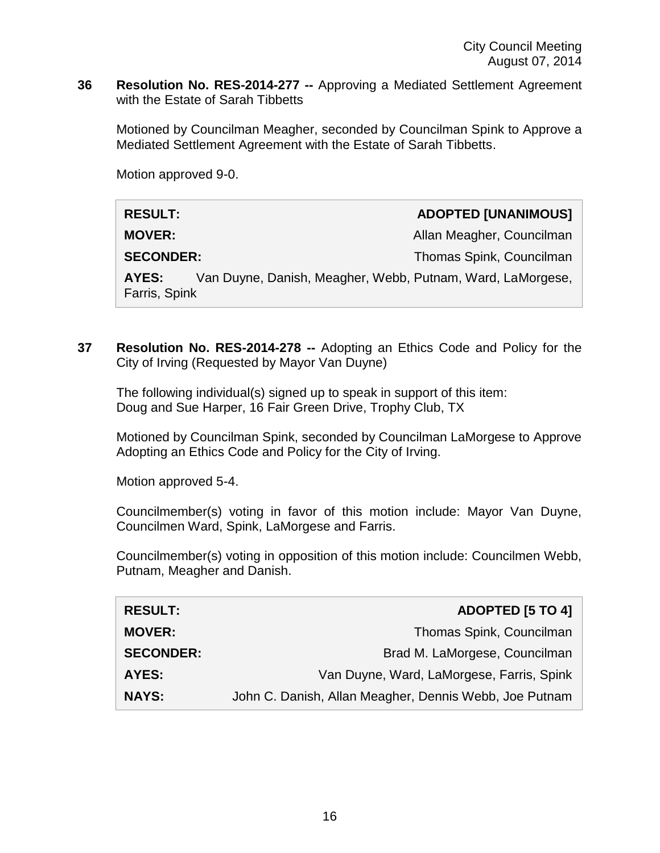**36 Resolution No. RES-2014-277 --** Approving a Mediated Settlement Agreement with the Estate of Sarah Tibbetts

Motioned by Councilman Meagher, seconded by Councilman Spink to Approve a Mediated Settlement Agreement with the Estate of Sarah Tibbetts.

Motion approved 9-0.

| <b>RESULT:</b>         |                                                            | <b>ADOPTED [UNANIMOUS]</b> |
|------------------------|------------------------------------------------------------|----------------------------|
| <b>MOVER:</b>          |                                                            | Allan Meagher, Councilman  |
| <b>SECONDER:</b>       |                                                            | Thomas Spink, Councilman   |
| AYES:<br>Farris, Spink | Van Duyne, Danish, Meagher, Webb, Putnam, Ward, LaMorgese, |                            |

**37 Resolution No. RES-2014-278 --** Adopting an Ethics Code and Policy for the City of Irving (Requested by Mayor Van Duyne)

The following individual(s) signed up to speak in support of this item: Doug and Sue Harper, 16 Fair Green Drive, Trophy Club, TX

Motioned by Councilman Spink, seconded by Councilman LaMorgese to Approve Adopting an Ethics Code and Policy for the City of Irving.

Motion approved 5-4.

Councilmember(s) voting in favor of this motion include: Mayor Van Duyne, Councilmen Ward, Spink, LaMorgese and Farris.

Councilmember(s) voting in opposition of this motion include: Councilmen Webb, Putnam, Meagher and Danish.

| <b>RESULT:</b>   | <b>ADOPTED [5 TO 4]</b>                                |
|------------------|--------------------------------------------------------|
| <b>MOVER:</b>    | Thomas Spink, Councilman                               |
| <b>SECONDER:</b> | Brad M. LaMorgese, Councilman                          |
| <b>AYES:</b>     | Van Duyne, Ward, LaMorgese, Farris, Spink              |
| <b>NAYS:</b>     | John C. Danish, Allan Meagher, Dennis Webb, Joe Putnam |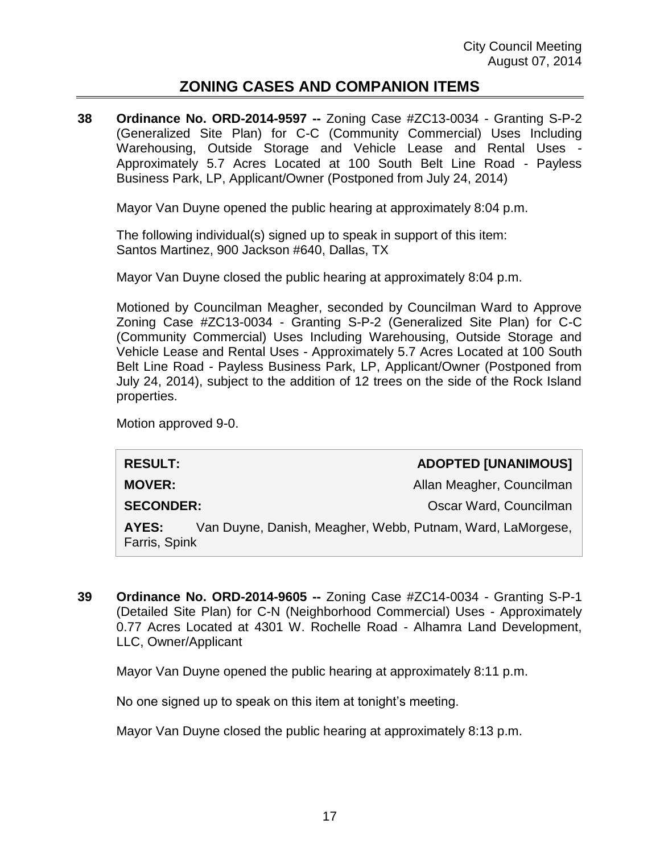# **ZONING CASES AND COMPANION ITEMS**

**38 Ordinance No. ORD-2014-9597 --** Zoning Case #ZC13-0034 - Granting S-P-2 (Generalized Site Plan) for C-C (Community Commercial) Uses Including Warehousing, Outside Storage and Vehicle Lease and Rental Uses - Approximately 5.7 Acres Located at 100 South Belt Line Road - Payless Business Park, LP, Applicant/Owner (Postponed from July 24, 2014)

Mayor Van Duyne opened the public hearing at approximately 8:04 p.m.

The following individual(s) signed up to speak in support of this item: Santos Martinez, 900 Jackson #640, Dallas, TX

Mayor Van Duyne closed the public hearing at approximately 8:04 p.m.

Motioned by Councilman Meagher, seconded by Councilman Ward to Approve Zoning Case #ZC13-0034 - Granting S-P-2 (Generalized Site Plan) for C-C (Community Commercial) Uses Including Warehousing, Outside Storage and Vehicle Lease and Rental Uses - Approximately 5.7 Acres Located at 100 South Belt Line Road - Payless Business Park, LP, Applicant/Owner (Postponed from July 24, 2014), subject to the addition of 12 trees on the side of the Rock Island properties.

Motion approved 9-0.

| <b>RESULT:</b>                                                                       |  | <b>ADOPTED [UNANIMOUS]</b> |
|--------------------------------------------------------------------------------------|--|----------------------------|
| <b>MOVER:</b>                                                                        |  | Allan Meagher, Councilman  |
| <b>SECONDER:</b>                                                                     |  | Oscar Ward, Councilman     |
| Van Duyne, Danish, Meagher, Webb, Putnam, Ward, LaMorgese,<br>AYES:<br>Farris, Spink |  |                            |

**39 Ordinance No. ORD-2014-9605 --** Zoning Case #ZC14-0034 - Granting S-P-1 (Detailed Site Plan) for C-N (Neighborhood Commercial) Uses - Approximately 0.77 Acres Located at 4301 W. Rochelle Road - Alhamra Land Development, LLC, Owner/Applicant

Mayor Van Duyne opened the public hearing at approximately 8:11 p.m.

No one signed up to speak on this item at tonight's meeting.

Mayor Van Duyne closed the public hearing at approximately 8:13 p.m.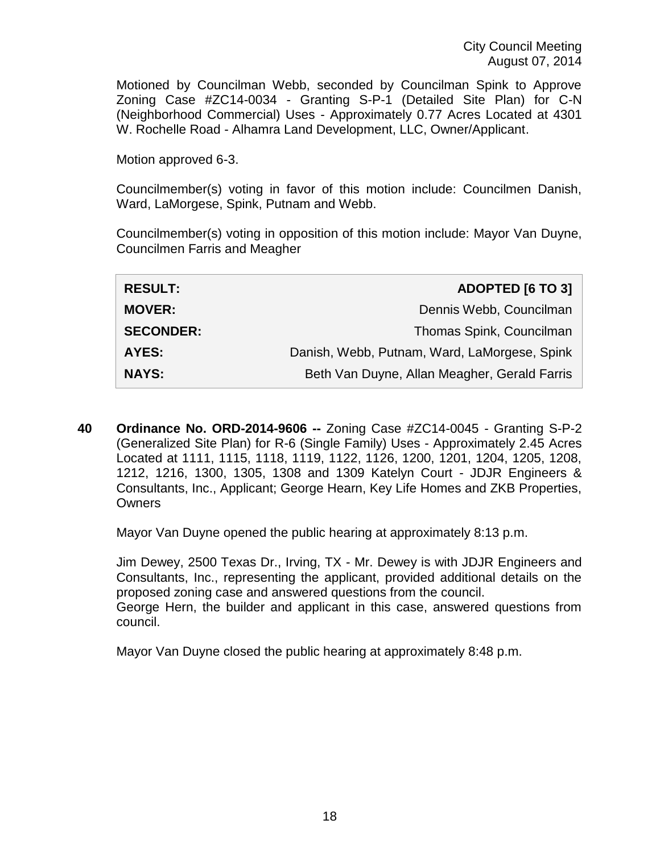Motioned by Councilman Webb, seconded by Councilman Spink to Approve Zoning Case #ZC14-0034 - Granting S-P-1 (Detailed Site Plan) for C-N (Neighborhood Commercial) Uses - Approximately 0.77 Acres Located at 4301 W. Rochelle Road - Alhamra Land Development, LLC, Owner/Applicant.

Motion approved 6-3.

Councilmember(s) voting in favor of this motion include: Councilmen Danish, Ward, LaMorgese, Spink, Putnam and Webb.

Councilmember(s) voting in opposition of this motion include: Mayor Van Duyne, Councilmen Farris and Meagher

| <b>RESULT:</b>   | <b>ADOPTED [6 TO 3]</b>                      |
|------------------|----------------------------------------------|
| <b>MOVER:</b>    | Dennis Webb, Councilman                      |
| <b>SECONDER:</b> | Thomas Spink, Councilman                     |
| <b>AYES:</b>     | Danish, Webb, Putnam, Ward, LaMorgese, Spink |
| <b>NAYS:</b>     | Beth Van Duyne, Allan Meagher, Gerald Farris |

**40 Ordinance No. ORD-2014-9606 --** Zoning Case #ZC14-0045 - Granting S-P-2 (Generalized Site Plan) for R-6 (Single Family) Uses - Approximately 2.45 Acres Located at 1111, 1115, 1118, 1119, 1122, 1126, 1200, 1201, 1204, 1205, 1208, 1212, 1216, 1300, 1305, 1308 and 1309 Katelyn Court - JDJR Engineers & Consultants, Inc., Applicant; George Hearn, Key Life Homes and ZKB Properties, **Owners** 

Mayor Van Duyne opened the public hearing at approximately 8:13 p.m.

Jim Dewey, 2500 Texas Dr., Irving, TX - Mr. Dewey is with JDJR Engineers and Consultants, Inc., representing the applicant, provided additional details on the proposed zoning case and answered questions from the council. George Hern, the builder and applicant in this case, answered questions from council.

Mayor Van Duyne closed the public hearing at approximately 8:48 p.m.